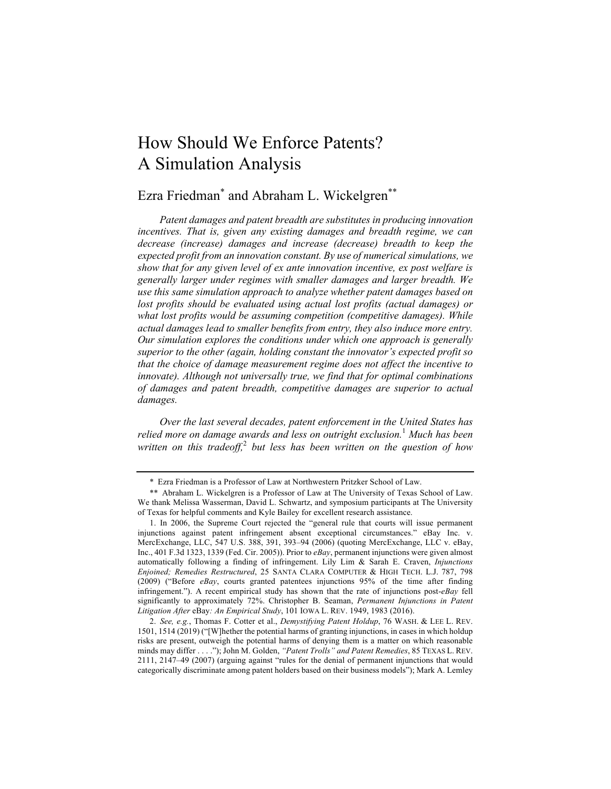# How Should We Enforce Patents? A Simulation Analysis

# Ezra Friedman\* and Abraham L. Wickelgren\*\*

*Patent damages and patent breadth are substitutes in producing innovation incentives. That is, given any existing damages and breadth regime, we can decrease (increase) damages and increase (decrease) breadth to keep the expected profit from an innovation constant. By use of numerical simulations, we show that for any given level of ex ante innovation incentive, ex post welfare is generally larger under regimes with smaller damages and larger breadth. We use this same simulation approach to analyze whether patent damages based on lost profits should be evaluated using actual lost profits (actual damages) or what lost profits would be assuming competition (competitive damages). While actual damages lead to smaller benefits from entry, they also induce more entry. Our simulation explores the conditions under which one approach is generally superior to the other (again, holding constant the innovator's expected profit so that the choice of damage measurement regime does not affect the incentive to innovate). Although not universally true, we find that for optimal combinations of damages and patent breadth, competitive damages are superior to actual damages.*

*Over the last several decades, patent enforcement in the United States has relied more on damage awards and less on outright exclusion.*<sup>1</sup> *Much has been written on this tradeoff,*<sup>2</sup> *but less has been written on the question of how* 

<sup>\*</sup> Ezra Friedman is a Professor of Law at Northwestern Pritzker School of Law.

<sup>\*\*</sup> Abraham L. Wickelgren is a Professor of Law at The University of Texas School of Law. We thank Melissa Wasserman, David L. Schwartz, and symposium participants at The University of Texas for helpful comments and Kyle Bailey for excellent research assistance.

<sup>1.</sup> In 2006, the Supreme Court rejected the "general rule that courts will issue permanent injunctions against patent infringement absent exceptional circumstances." eBay Inc. v. MercExchange, LLC, 547 U.S. 388, 391, 393–94 (2006) (quoting MercExchange, LLC v. eBay, Inc., 401 F.3d 1323, 1339 (Fed. Cir. 2005)). Prior to *eBay*, permanent injunctions were given almost automatically following a finding of infringement. Lily Lim & Sarah E. Craven, *Injunctions Enjoined; Remedies Restructured*, 25 SANTA CLARA COMPUTER & HIGH TECH. L.J. 787, 798 (2009) ("Before *eBay*, courts granted patentees injunctions 95% of the time after finding infringement."). A recent empirical study has shown that the rate of injunctions post-*eBay* fell significantly to approximately 72%. Christopher B. Seaman, *Permanent Injunctions in Patent Litigation After* eBay*: An Empirical Study*, 101 IOWA L. REV. 1949, 1983 (2016).

<sup>2.</sup> *See, e.g.*, Thomas F. Cotter et al., *Demystifying Patent Holdup*, 76 WASH. & LEE L. REV. 1501, 1514 (2019) ("[W]hether the potential harms of granting injunctions, in cases in which holdup risks are present, outweigh the potential harms of denying them is a matter on which reasonable minds may differ . . . ."); John M. Golden, *"Patent Trolls" and Patent Remedies*, 85 TEXAS L. REV. 2111, 2147–49 (2007) (arguing against "rules for the denial of permanent injunctions that would categorically discriminate among patent holders based on their business models"); Mark A. Lemley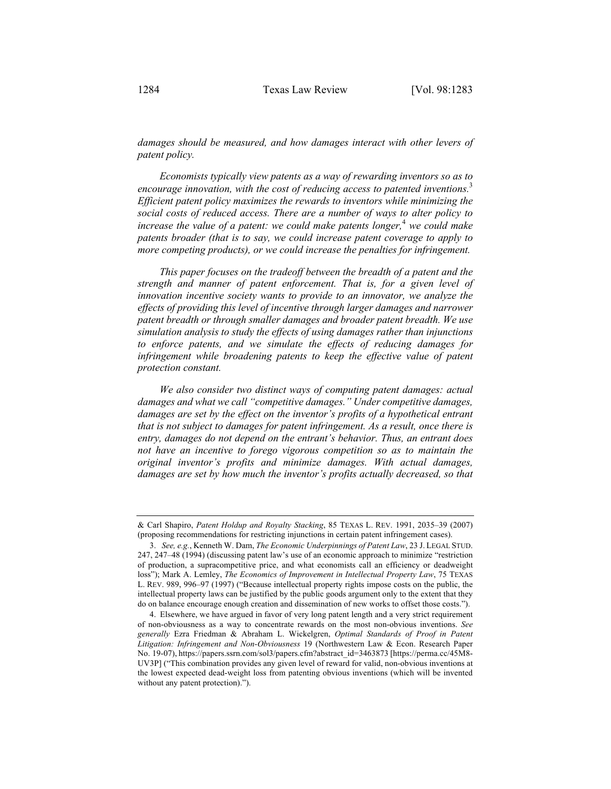*damages should be measured, and how damages interact with other levers of patent policy.*

*Economists typically view patents as a way of rewarding inventors so as to encourage innovation, with the cost of reducing access to patented inventions.*<sup>3</sup> *Efficient patent policy maximizes the rewards to inventors while minimizing the social costs of reduced access. There are a number of ways to alter policy to increase the value of a patent: we could make patents longer*,<sup>4</sup> *we could make patents broader (that is to say, we could increase patent coverage to apply to more competing products), or we could increase the penalties for infringement.*

*This paper focuses on the tradeoff between the breadth of a patent and the strength and manner of patent enforcement. That is, for a given level of innovation incentive society wants to provide to an innovator, we analyze the effects of providing this level of incentive through larger damages and narrower patent breadth or through smaller damages and broader patent breadth. We use simulation analysis to study the effects of using damages rather than injunctions to enforce patents, and we simulate the effects of reducing damages for infringement while broadening patents to keep the effective value of patent protection constant.*

*We also consider two distinct ways of computing patent damages: actual damages and what we call "competitive damages." Under competitive damages, damages are set by the effect on the inventor's profits of a hypothetical entrant that is not subject to damages for patent infringement. As a result, once there is entry, damages do not depend on the entrant's behavior. Thus, an entrant does not have an incentive to forego vigorous competition so as to maintain the original inventor's profits and minimize damages. With actual damages, damages are set by how much the inventor's profits actually decreased, so that* 

<sup>&</sup>amp; Carl Shapiro, *Patent Holdup and Royalty Stacking*, 85 TEXAS L. REV. 1991, 2035–39 (2007) (proposing recommendations for restricting injunctions in certain patent infringement cases).

<sup>3.</sup> *See, e.g.*, Kenneth W. Dam, *The Economic Underpinnings of Patent Law*, 23 J. LEGAL STUD. 247, 247–48 (1994) (discussing patent law's use of an economic approach to minimize "restriction of production, a supracompetitive price, and what economists call an efficiency or deadweight loss"); Mark A. Lemley, *The Economics of Improvement in Intellectual Property Law*, 75 TEXAS L. REV. 989, 996–97 (1997) ("Because intellectual property rights impose costs on the public, the intellectual property laws can be justified by the public goods argument only to the extent that they do on balance encourage enough creation and dissemination of new works to offset those costs.").

<sup>4.</sup> Elsewhere, we have argued in favor of very long patent length and a very strict requirement of non-obviousness as a way to concentrate rewards on the most non-obvious inventions. *See generally* Ezra Friedman & Abraham L. Wickelgren, *Optimal Standards of Proof in Patent Litigation: Infringement and Non-Obviousness* 19 (Northwestern Law & Econ. Research Paper No. 19-07), https://papers.ssrn.com/sol3/papers.cfm?abstract\_id=3463873 [https://perma.cc/45M8- UV3P] ("This combination provides any given level of reward for valid, non-obvious inventions at the lowest expected dead-weight loss from patenting obvious inventions (which will be invented without any patent protection).").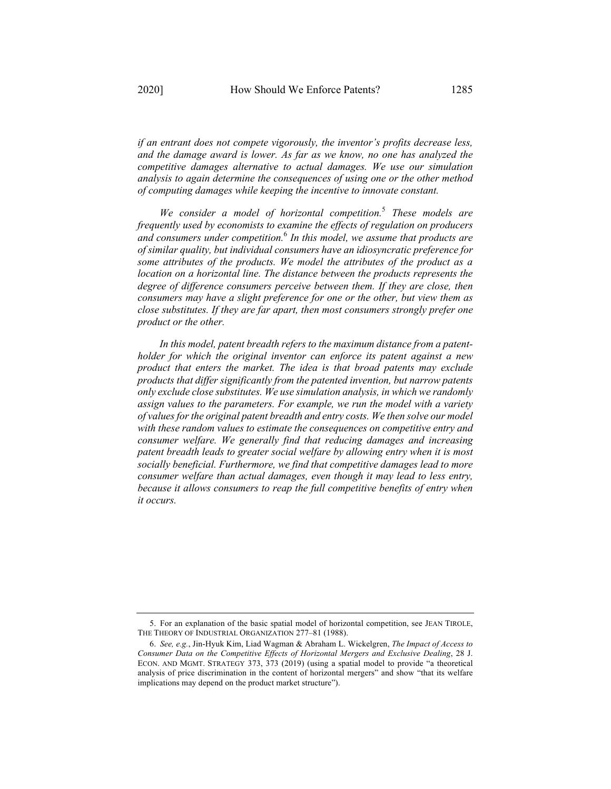*if an entrant does not compete vigorously, the inventor's profits decrease less, and the damage award is lower. As far as we know, no one has analyzed the competitive damages alternative to actual damages. We use our simulation analysis to again determine the consequences of using one or the other method of computing damages while keeping the incentive to innovate constant.*

*We consider a model of horizontal competition.*<sup>5</sup> *These models are frequently used by economists to examine the effects of regulation on producers and consumers under competition.*<sup>6</sup> *In this model, we assume that products are of similar quality, but individual consumers have an idiosyncratic preference for some attributes of the products. We model the attributes of the product as a location on a horizontal line. The distance between the products represents the degree of difference consumers perceive between them. If they are close, then consumers may have a slight preference for one or the other, but view them as close substitutes. If they are far apart, then most consumers strongly prefer one product or the other.* 

*In this model, patent breadth refers to the maximum distance from a patentholder for which the original inventor can enforce its patent against a new product that enters the market. The idea is that broad patents may exclude products that differ significantly from the patented invention, but narrow patents only exclude close substitutes. We use simulation analysis, in which we randomly assign values to the parameters. For example, we run the model with a variety of values for the original patent breadth and entry costs. We then solve our model with these random values to estimate the consequences on competitive entry and consumer welfare. We generally find that reducing damages and increasing patent breadth leads to greater social welfare by allowing entry when it is most socially beneficial. Furthermore, we find that competitive damages lead to more consumer welfare than actual damages, even though it may lead to less entry, because it allows consumers to reap the full competitive benefits of entry when it occurs.*

<sup>5.</sup> For an explanation of the basic spatial model of horizontal competition, see JEAN TIROLE, THE THEORY OF INDUSTRIAL ORGANIZATION 277–81 (1988).

<sup>6.</sup> *See, e.g.*, Jin-Hyuk Kim, Liad Wagman & Abraham L. Wickelgren, *The Impact of Access to Consumer Data on the Competitive Effects of Horizontal Mergers and Exclusive Dealing*, 28 J. ECON. AND MGMT. STRATEGY 373, 373 (2019) (using a spatial model to provide "a theoretical analysis of price discrimination in the content of horizontal mergers" and show "that its welfare implications may depend on the product market structure").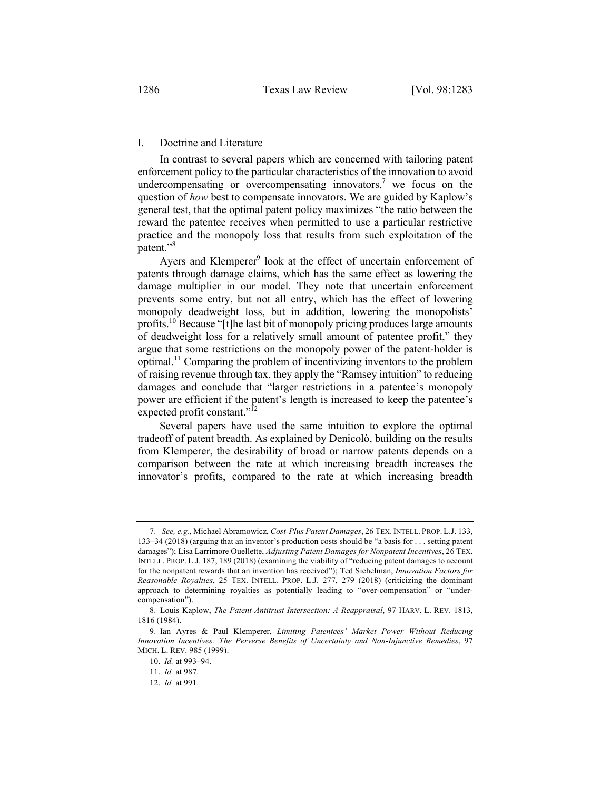### I. Doctrine and Literature

In contrast to several papers which are concerned with tailoring patent enforcement policy to the particular characteristics of the innovation to avoid undercompensating or overcompensating innovators,<sup>7</sup> we focus on the question of *how* best to compensate innovators. We are guided by Kaplow's general test, that the optimal patent policy maximizes "the ratio between the reward the patentee receives when permitted to use a particular restrictive practice and the monopoly loss that results from such exploitation of the patent."<sup>8</sup>

Ayers and Klemperer<sup>9</sup> look at the effect of uncertain enforcement of patents through damage claims, which has the same effect as lowering the damage multiplier in our model. They note that uncertain enforcement prevents some entry, but not all entry, which has the effect of lowering monopoly deadweight loss, but in addition, lowering the monopolists' profits.<sup>10</sup> Because "[t]he last bit of monopoly pricing produces large amounts of deadweight loss for a relatively small amount of patentee profit," they argue that some restrictions on the monopoly power of the patent-holder is optimal.11 Comparing the problem of incentivizing inventors to the problem of raising revenue through tax, they apply the "Ramsey intuition" to reducing damages and conclude that "larger restrictions in a patentee's monopoly power are efficient if the patent's length is increased to keep the patentee's expected profit constant."<sup>12</sup>

Several papers have used the same intuition to explore the optimal tradeoff of patent breadth. As explained by Denicolò, building on the results from Klemperer, the desirability of broad or narrow patents depends on a comparison between the rate at which increasing breadth increases the innovator's profits, compared to the rate at which increasing breadth

<sup>7.</sup> *See, e.g.*, Michael Abramowicz, *Cost-Plus Patent Damages*, 26 TEX. INTELL. PROP. L.J. 133, 133–34 (2018) (arguing that an inventor's production costs should be "a basis for . . . setting patent damages"); Lisa Larrimore Ouellette, *Adjusting Patent Damages for Nonpatent Incentives*, 26 TEX. INTELL. PROP. L.J. 187, 189 (2018) (examining the viability of "reducing patent damages to account for the nonpatent rewards that an invention has received"); Ted Sichelman, *Innovation Factors for Reasonable Royalties*, 25 TEX. INTELL. PROP. L.J. 277, 279 (2018) (criticizing the dominant approach to determining royalties as potentially leading to "over-compensation" or "undercompensation").

<sup>8.</sup> Louis Kaplow, *The Patent-Antitrust Intersection: A Reappraisal*, 97 HARV. L. REV. 1813, 1816 (1984).

<sup>9.</sup> Ian Ayres & Paul Klemperer, *Limiting Patentees' Market Power Without Reducing Innovation Incentives: The Perverse Benefits of Uncertainty and Non-Injunctive Remedies*, 97 MICH. L. REV. 985 (1999).

<sup>10.</sup> *Id.* at 993–94.

<sup>11.</sup> *Id.* at 987.

<sup>12.</sup> *Id.* at 991.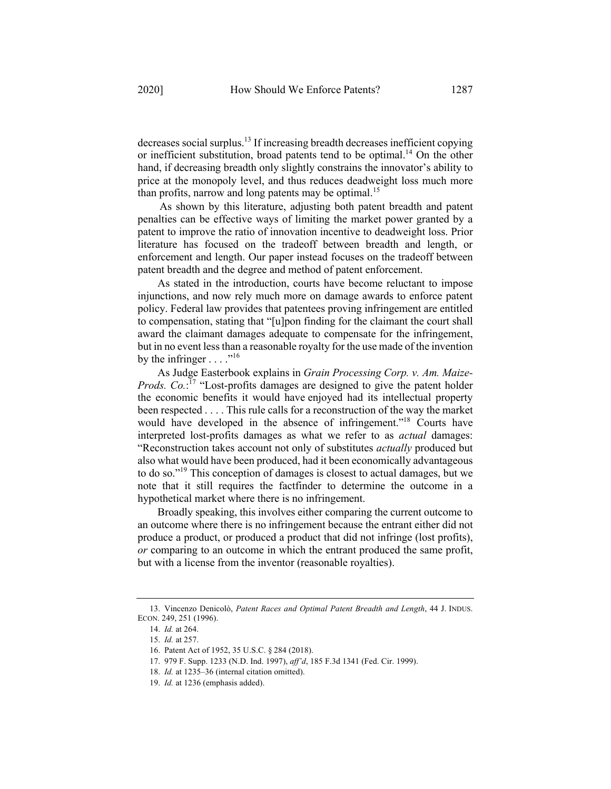decreases social surplus.13 If increasing breadth decreases inefficient copying or inefficient substitution, broad patents tend to be optimal.<sup>14</sup> On the other hand, if decreasing breadth only slightly constrains the innovator's ability to price at the monopoly level, and thus reduces deadweight loss much more than profits, narrow and long patents may be optimal.<sup>15</sup>

As shown by this literature, adjusting both patent breadth and patent penalties can be effective ways of limiting the market power granted by a patent to improve the ratio of innovation incentive to deadweight loss. Prior literature has focused on the tradeoff between breadth and length, or enforcement and length. Our paper instead focuses on the tradeoff between patent breadth and the degree and method of patent enforcement.

As stated in the introduction, courts have become reluctant to impose injunctions, and now rely much more on damage awards to enforce patent policy. Federal law provides that patentees proving infringement are entitled to compensation, stating that "[u]pon finding for the claimant the court shall award the claimant damages adequate to compensate for the infringement, but in no event less than a reasonable royalty for the use made of the invention by the infringer  $\dots$ ."<sup>16</sup>

As Judge Easterbook explains in *Grain Processing Corp. v. Am. Maize-Prods. Co.*: <sup>17</sup> "Lost-profits damages are designed to give the patent holder the economic benefits it would have enjoyed had its intellectual property been respected . . . . This rule calls for a reconstruction of the way the market would have developed in the absence of infringement."<sup>18</sup> Courts have interpreted lost-profits damages as what we refer to as *actual* damages: "Reconstruction takes account not only of substitutes *actually* produced but also what would have been produced, had it been economically advantageous to do so."19 This conception of damages is closest to actual damages, but we note that it still requires the factfinder to determine the outcome in a hypothetical market where there is no infringement.

Broadly speaking, this involves either comparing the current outcome to an outcome where there is no infringement because the entrant either did not produce a product, or produced a product that did not infringe (lost profits), *or* comparing to an outcome in which the entrant produced the same profit, but with a license from the inventor (reasonable royalties).

<sup>13.</sup> Vincenzo Denicolò, *Patent Races and Optimal Patent Breadth and Length*, 44 J. INDUS. ECON. 249, 251 (1996).

<sup>14.</sup> *Id.* at 264.

<sup>15.</sup> *Id.* at 257.

<sup>16.</sup> Patent Act of 1952, 35 U.S.C. § 284 (2018).

<sup>17.</sup> 979 F. Supp. 1233 (N.D. Ind. 1997), *aff'd*, 185 F.3d 1341 (Fed. Cir. 1999).

<sup>18.</sup> *Id.* at 1235–36 (internal citation omitted).

<sup>19.</sup> *Id.* at 1236 (emphasis added).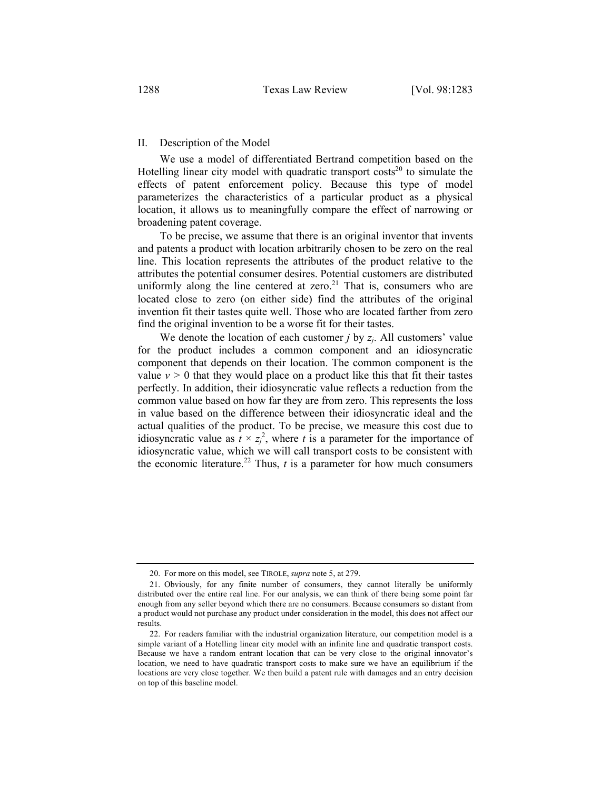# II. Description of the Model

We use a model of differentiated Bertrand competition based on the Hotelling linear city model with quadratic transport  $costs^{20}$  to simulate the effects of patent enforcement policy. Because this type of model parameterizes the characteristics of a particular product as a physical location, it allows us to meaningfully compare the effect of narrowing or broadening patent coverage.

To be precise, we assume that there is an original inventor that invents and patents a product with location arbitrarily chosen to be zero on the real line. This location represents the attributes of the product relative to the attributes the potential consumer desires. Potential customers are distributed uniformly along the line centered at zero.<sup>21</sup> That is, consumers who are located close to zero (on either side) find the attributes of the original invention fit their tastes quite well. Those who are located farther from zero find the original invention to be a worse fit for their tastes.

We denote the location of each customer  $j$  by  $z_j$ . All customers' value for the product includes a common component and an idiosyncratic component that depends on their location. The common component is the value  $v > 0$  that they would place on a product like this that fit their tastes perfectly. In addition, their idiosyncratic value reflects a reduction from the common value based on how far they are from zero. This represents the loss in value based on the difference between their idiosyncratic ideal and the actual qualities of the product. To be precise, we measure this cost due to idiosyncratic value as  $t \times z_j^2$ , where t is a parameter for the importance of idiosyncratic value, which we will call transport costs to be consistent with the economic literature.<sup>22</sup> Thus, *t* is a parameter for how much consumers

<sup>20.</sup> For more on this model, see TIROLE, *supra* note 5, at 279.

<sup>21.</sup> Obviously, for any finite number of consumers, they cannot literally be uniformly distributed over the entire real line. For our analysis, we can think of there being some point far enough from any seller beyond which there are no consumers. Because consumers so distant from a product would not purchase any product under consideration in the model, this does not affect our results.

<sup>22.</sup> For readers familiar with the industrial organization literature, our competition model is a simple variant of a Hotelling linear city model with an infinite line and quadratic transport costs. Because we have a random entrant location that can be very close to the original innovator's location, we need to have quadratic transport costs to make sure we have an equilibrium if the locations are very close together. We then build a patent rule with damages and an entry decision on top of this baseline model.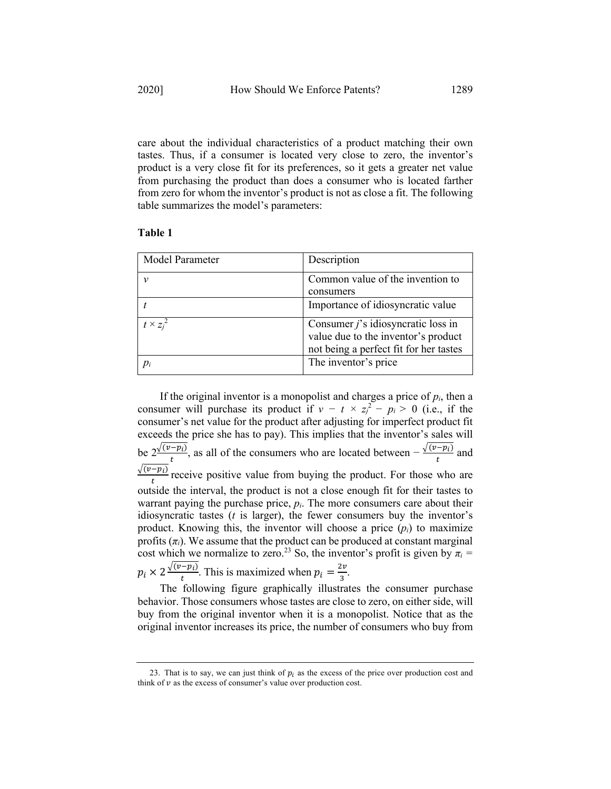care about the individual characteristics of a product matching their own tastes. Thus, if a consumer is located very close to zero, the inventor's product is a very close fit for its preferences, so it gets a greater net value from purchasing the product than does a consumer who is located farther from zero for whom the inventor's product is not as close a fit. The following table summarizes the model's parameters:

### **Table 1**

| Model Parameter  | Description                                                                                                            |
|------------------|------------------------------------------------------------------------------------------------------------------------|
|                  | Common value of the invention to<br>consumers                                                                          |
|                  | Importance of idiosyncratic value                                                                                      |
| $t \times z_i^2$ | Consumer $j$ 's idiosyncratic loss in<br>value due to the inventor's product<br>not being a perfect fit for her tastes |
|                  | The inventor's price                                                                                                   |

If the original inventor is a monopolist and charges a price of  $p_i$ , then a consumer will purchase its product if  $v - t \times z_j^2 - p_i > 0$  (i.e., if the consumer's net value for the product after adjusting for imperfect product fit exceeds the price she has to pay). This implies that the inventor's sales will be  $2\frac{\sqrt{(v-p_i)}}{t}$ , as all of the consumers who are located between  $-\frac{\sqrt{(v-p_i)}}{t}$  and  $\frac{\sqrt{(v-p_i)}}{t}$  receive positive value from buying the product. For those who are outside the interval, the product is not a close enough fit for their tastes to warrant paying the purchase price,  $p_i$ . The more consumers care about their idiosyncratic tastes (*t* is larger), the fewer consumers buy the inventor's product. Knowing this, the inventor will choose a price  $(p_i)$  to maximize profits  $(\pi_i)$ . We assume that the product can be produced at constant marginal cost which we normalize to zero.<sup>23</sup> So, the inventor's profit is given by  $\pi_i =$  $p_i \times 2 \frac{\sqrt{(v-p_i)}}{t}$ . This is maximized when  $p_i = \frac{2v}{3}$ .

The following figure graphically illustrates the consumer purchase behavior. Those consumers whose tastes are close to zero, on either side, will buy from the original inventor when it is a monopolist. Notice that as the original inventor increases its price, the number of consumers who buy from

<sup>23.</sup> That is to say, we can just think of  $p_i$  as the excess of the price over production cost and think of  $\nu$  as the excess of consumer's value over production cost.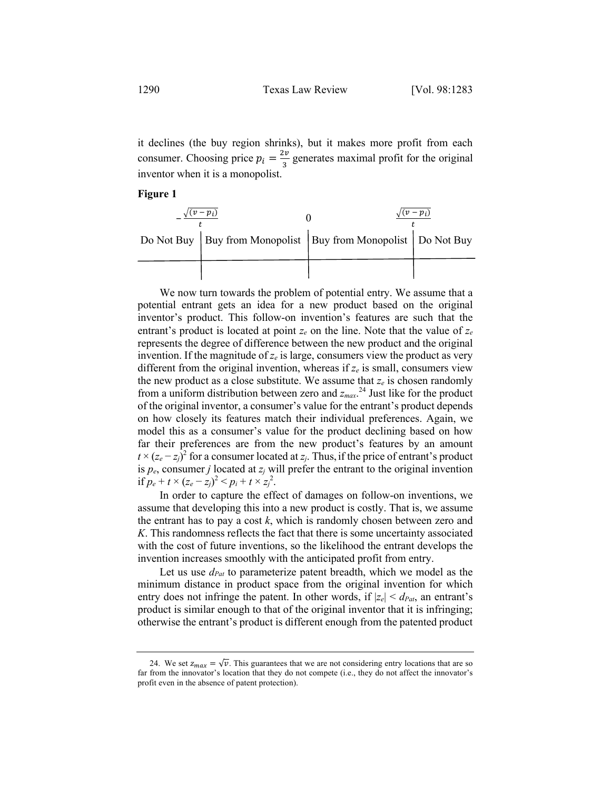it declines (the buy region shrinks), but it makes more profit from each consumer. Choosing price  $p_i = \frac{2v}{3}$  generates maximal profit for the original inventor when it is a monopolist.

### **Figure 1**

| $\sqrt{(v-p_i)}$ |                                                                     | $\sqrt{(v-p_i)}$ |  |
|------------------|---------------------------------------------------------------------|------------------|--|
|                  | Do Not Buy   Buy from Monopolist   Buy from Monopolist   Do Not Buy |                  |  |
|                  |                                                                     |                  |  |

We now turn towards the problem of potential entry. We assume that a potential entrant gets an idea for a new product based on the original inventor's product. This follow-on invention's features are such that the entrant's product is located at point *ze* on the line. Note that the value of *ze* represents the degree of difference between the new product and the original invention. If the magnitude of *ze* is large, consumers view the product as very different from the original invention, whereas if *ze* is small, consumers view the new product as a close substitute. We assume that  $z_e$  is chosen randomly from a uniform distribution between zero and *zmax*. <sup>24</sup> Just like for the product of the original inventor, a consumer's value for the entrant's product depends on how closely its features match their individual preferences. Again, we model this as a consumer's value for the product declining based on how far their preferences are from the new product's features by an amount  $t \times (z_e - z_j)^2$  for a consumer located at  $z_j$ . Thus, if the price of entrant's product is  $p_e$ , consumer *j* located at  $z_j$  will prefer the entrant to the original invention if  $p_e + t \times (z_e - z_j)^2 < p_i + t \times z_j^2$ .

In order to capture the effect of damages on follow-on inventions, we assume that developing this into a new product is costly. That is, we assume the entrant has to pay a cost *k*, which is randomly chosen between zero and *K*. This randomness reflects the fact that there is some uncertainty associated with the cost of future inventions, so the likelihood the entrant develops the invention increases smoothly with the anticipated profit from entry.

Let us use  $d_{Pat}$  to parameterize patent breadth, which we model as the minimum distance in product space from the original invention for which entry does not infringe the patent. In other words, if  $|z_e| \le d_{Pat}$ , an entrant's product is similar enough to that of the original inventor that it is infringing; otherwise the entrant's product is different enough from the patented product

<sup>24.</sup> We set  $z_{max} = \sqrt{\nu}$ . This guarantees that we are not considering entry locations that are so far from the innovator's location that they do not compete (i.e., they do not affect the innovator's profit even in the absence of patent protection).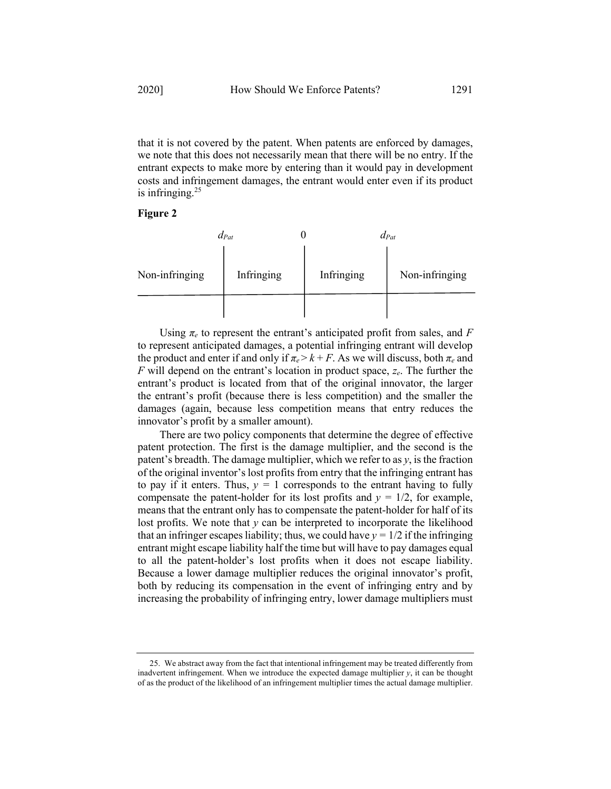that it is not covered by the patent. When patents are enforced by damages, we note that this does not necessarily mean that there will be no entry. If the entrant expects to make more by entering than it would pay in development costs and infringement damages, the entrant would enter even if its product is infringing. $25$ 





Using  $\pi_e$  to represent the entrant's anticipated profit from sales, and *F* to represent anticipated damages, a potential infringing entrant will develop the product and enter if and only if  $\pi_e > k + F$ . As we will discuss, both  $\pi_e$  and *F* will depend on the entrant's location in product space, *ze*. The further the entrant's product is located from that of the original innovator, the larger the entrant's profit (because there is less competition) and the smaller the damages (again, because less competition means that entry reduces the innovator's profit by a smaller amount).

There are two policy components that determine the degree of effective patent protection. The first is the damage multiplier, and the second is the patent's breadth. The damage multiplier, which we refer to as *y*, is the fraction of the original inventor's lost profits from entry that the infringing entrant has to pay if it enters. Thus,  $y = 1$  corresponds to the entrant having to fully compensate the patent-holder for its lost profits and  $y = \frac{1}{2}$ , for example, means that the entrant only has to compensate the patent-holder for half of its lost profits. We note that *y* can be interpreted to incorporate the likelihood that an infringer escapes liability; thus, we could have  $y = 1/2$  if the infringing entrant might escape liability half the time but will have to pay damages equal to all the patent-holder's lost profits when it does not escape liability. Because a lower damage multiplier reduces the original innovator's profit, both by reducing its compensation in the event of infringing entry and by increasing the probability of infringing entry, lower damage multipliers must

<sup>25.</sup> We abstract away from the fact that intentional infringement may be treated differently from inadvertent infringement. When we introduce the expected damage multiplier *y*, it can be thought of as the product of the likelihood of an infringement multiplier times the actual damage multiplier.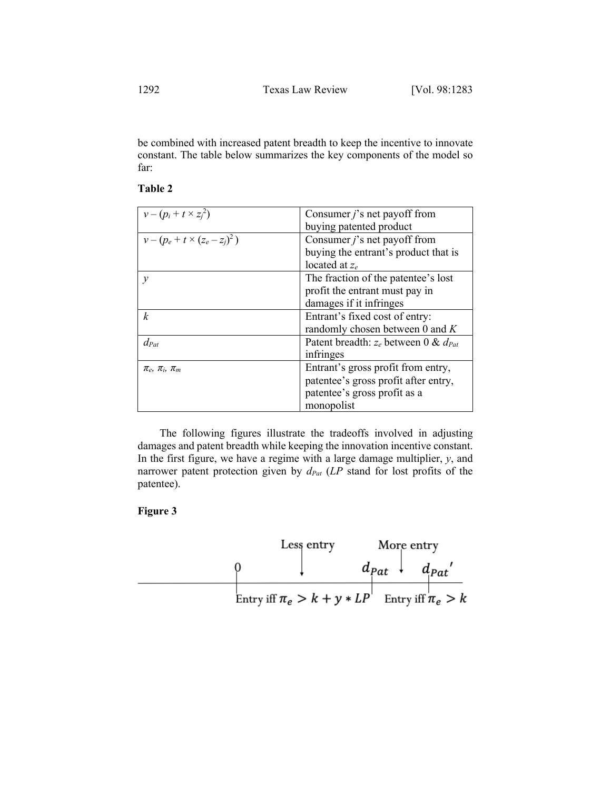be combined with increased patent breadth to keep the incentive to innovate constant. The table below summarizes the key components of the model so far:

| $v - (p_i + t \times z_i^2)$         | Consumer $j$ 's net payoff from             |
|--------------------------------------|---------------------------------------------|
|                                      | buying patented product                     |
| $v - (p_e + t \times (z_e - z_i)^2)$ | Consumer $i$ 's net payoff from             |
|                                      | buying the entrant's product that is        |
|                                      | located at $z_e$                            |
| $\mathcal V$                         | The fraction of the patentee's lost         |
|                                      | profit the entrant must pay in              |
|                                      | damages if it infringes                     |
| k                                    | Entrant's fixed cost of entry:              |
|                                      | randomly chosen between 0 and $K$           |
| $d_{Pat}$                            | Patent breadth: $z_e$ between 0 & $d_{Pat}$ |
|                                      | infringes                                   |
| $\pi_e$ , $\pi_i$ , $\pi_m$          | Entrant's gross profit from entry,          |
|                                      | patentee's gross profit after entry,        |
|                                      | patentee's gross profit as a                |
|                                      | monopolist                                  |

# **Table 2**

The following figures illustrate the tradeoffs involved in adjusting damages and patent breadth while keeping the innovation incentive constant. In the first figure, we have a regime with a large damage multiplier, *y*, and narrower patent protection given by  $d_{Pat}$  (*LP* stand for lost profits of the patentee).

# **Figure 3**

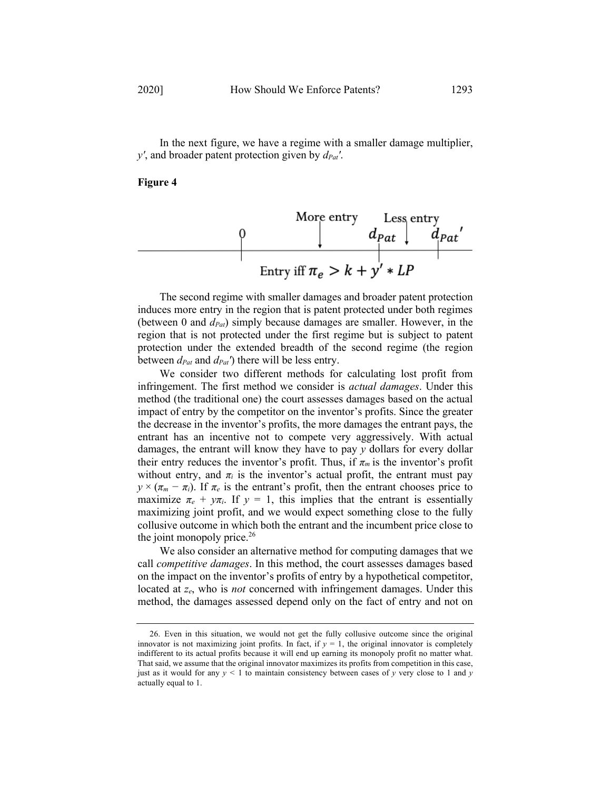*y'*, and broader patent protection given by  $d_{Part}$ .





The second regime with smaller damages and broader patent protection induces more entry in the region that is patent protected under both regimes (between 0 and  $d_{Pat}$ ) simply because damages are smaller. However, in the region that is not protected under the first regime but is subject to patent protection under the extended breadth of the second regime (the region between  $d_{Pat}$  and  $d_{Pat}$ <sup>'</sup>) there will be less entry.

We consider two different methods for calculating lost profit from infringement. The first method we consider is *actual damages*. Under this method (the traditional one) the court assesses damages based on the actual impact of entry by the competitor on the inventor's profits. Since the greater the decrease in the inventor's profits, the more damages the entrant pays, the entrant has an incentive not to compete very aggressively. With actual damages, the entrant will know they have to pay *y* dollars for every dollar their entry reduces the inventor's profit. Thus, if  $\pi_m$  is the inventor's profit without entry, and  $\pi_i$  is the inventor's actual profit, the entrant must pay  $y \times (\pi_m - \pi_i)$ . If  $\pi_e$  is the entrant's profit, then the entrant chooses price to maximize  $\pi_e + y\pi_i$ . If  $y = 1$ , this implies that the entrant is essentially maximizing joint profit, and we would expect something close to the fully collusive outcome in which both the entrant and the incumbent price close to the joint monopoly price.<sup>26</sup>

We also consider an alternative method for computing damages that we call *competitive damages*. In this method, the court assesses damages based on the impact on the inventor's profits of entry by a hypothetical competitor, located at *ze*, who is *not* concerned with infringement damages. Under this method, the damages assessed depend only on the fact of entry and not on

<sup>26.</sup> Even in this situation, we would not get the fully collusive outcome since the original innovator is not maximizing joint profits. In fact, if  $y = 1$ , the original innovator is completely indifferent to its actual profits because it will end up earning its monopoly profit no matter what. That said, we assume that the original innovator maximizes its profits from competition in this case, just as it would for any *y <* 1 to maintain consistency between cases of *y* very close to 1 and *y* actually equal to 1.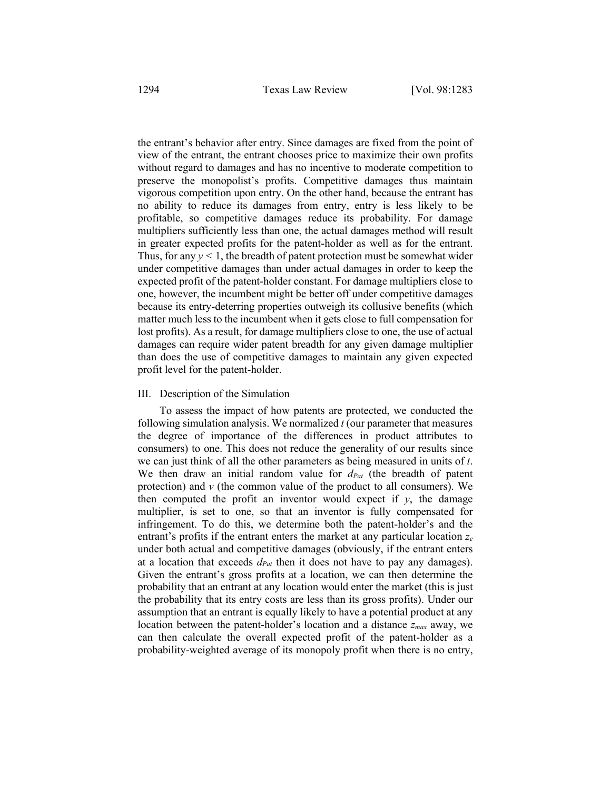the entrant's behavior after entry. Since damages are fixed from the point of view of the entrant, the entrant chooses price to maximize their own profits without regard to damages and has no incentive to moderate competition to preserve the monopolist's profits. Competitive damages thus maintain vigorous competition upon entry. On the other hand, because the entrant has no ability to reduce its damages from entry, entry is less likely to be profitable, so competitive damages reduce its probability. For damage multipliers sufficiently less than one, the actual damages method will result in greater expected profits for the patent-holder as well as for the entrant. Thus, for any  $y \le 1$ , the breadth of patent protection must be somewhat wider under competitive damages than under actual damages in order to keep the expected profit of the patent-holder constant. For damage multipliers close to one, however, the incumbent might be better off under competitive damages because its entry-deterring properties outweigh its collusive benefits (which matter much less to the incumbent when it gets close to full compensation for lost profits). As a result, for damage multipliers close to one, the use of actual damages can require wider patent breadth for any given damage multiplier than does the use of competitive damages to maintain any given expected profit level for the patent-holder.

# III. Description of the Simulation

To assess the impact of how patents are protected, we conducted the following simulation analysis. We normalized *t* (our parameter that measures the degree of importance of the differences in product attributes to consumers) to one. This does not reduce the generality of our results since we can just think of all the other parameters as being measured in units of *t*. We then draw an initial random value for  $d_{Pat}$  (the breadth of patent protection) and *v* (the common value of the product to all consumers). We then computed the profit an inventor would expect if *y*, the damage multiplier, is set to one, so that an inventor is fully compensated for infringement. To do this, we determine both the patent-holder's and the entrant's profits if the entrant enters the market at any particular location *ze* under both actual and competitive damages (obviously, if the entrant enters at a location that exceeds *dPat* then it does not have to pay any damages). Given the entrant's gross profits at a location, we can then determine the probability that an entrant at any location would enter the market (this is just the probability that its entry costs are less than its gross profits). Under our assumption that an entrant is equally likely to have a potential product at any location between the patent-holder's location and a distance *zmax* away, we can then calculate the overall expected profit of the patent-holder as a probability-weighted average of its monopoly profit when there is no entry,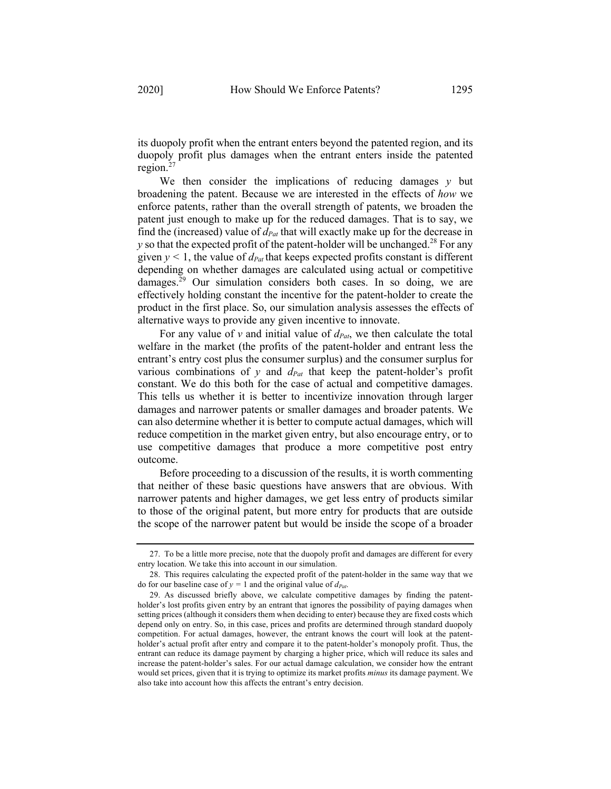its duopoly profit when the entrant enters beyond the patented region, and its duopoly profit plus damages when the entrant enters inside the patented region.<sup>27</sup>

We then consider the implications of reducing damages *y* but broadening the patent. Because we are interested in the effects of *how* we enforce patents, rather than the overall strength of patents, we broaden the patent just enough to make up for the reduced damages. That is to say, we find the (increased) value of  $d_{Pat}$  that will exactly make up for the decrease in  $y$  so that the expected profit of the patent-holder will be unchanged.<sup>28</sup> For any given  $y < 1$ , the value of  $d_{Pat}$  that keeps expected profits constant is different depending on whether damages are calculated using actual or competitive damages.<sup>29</sup> Our simulation considers both cases. In so doing, we are effectively holding constant the incentive for the patent-holder to create the product in the first place. So, our simulation analysis assesses the effects of alternative ways to provide any given incentive to innovate.

For any value of  $\nu$  and initial value of  $d_{Pat}$ , we then calculate the total welfare in the market (the profits of the patent-holder and entrant less the entrant's entry cost plus the consumer surplus) and the consumer surplus for various combinations of  $y$  and  $d_{Pat}$  that keep the patent-holder's profit constant. We do this both for the case of actual and competitive damages. This tells us whether it is better to incentivize innovation through larger damages and narrower patents or smaller damages and broader patents. We can also determine whether it is better to compute actual damages, which will reduce competition in the market given entry, but also encourage entry, or to use competitive damages that produce a more competitive post entry outcome.

Before proceeding to a discussion of the results, it is worth commenting that neither of these basic questions have answers that are obvious. With narrower patents and higher damages, we get less entry of products similar to those of the original patent, but more entry for products that are outside the scope of the narrower patent but would be inside the scope of a broader

<sup>27.</sup> To be a little more precise, note that the duopoly profit and damages are different for every entry location. We take this into account in our simulation.

<sup>28.</sup> This requires calculating the expected profit of the patent-holder in the same way that we do for our baseline case of  $y = 1$  and the original value of  $d_{Pat}$ .

<sup>29.</sup> As discussed briefly above, we calculate competitive damages by finding the patentholder's lost profits given entry by an entrant that ignores the possibility of paying damages when setting prices (although it considers them when deciding to enter) because they are fixed costs which depend only on entry. So, in this case, prices and profits are determined through standard duopoly competition. For actual damages, however, the entrant knows the court will look at the patentholder's actual profit after entry and compare it to the patent-holder's monopoly profit. Thus, the entrant can reduce its damage payment by charging a higher price, which will reduce its sales and increase the patent-holder's sales. For our actual damage calculation, we consider how the entrant would set prices, given that it is trying to optimize its market profits *minus* its damage payment. We also take into account how this affects the entrant's entry decision.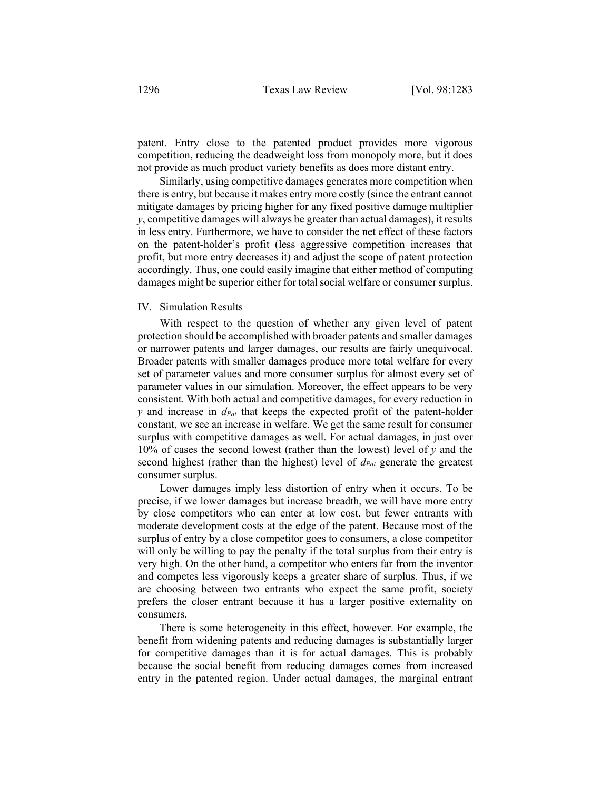patent. Entry close to the patented product provides more vigorous competition, reducing the deadweight loss from monopoly more, but it does not provide as much product variety benefits as does more distant entry.

Similarly, using competitive damages generates more competition when there is entry, but because it makes entry more costly (since the entrant cannot mitigate damages by pricing higher for any fixed positive damage multiplier *y*, competitive damages will always be greater than actual damages), it results in less entry. Furthermore, we have to consider the net effect of these factors on the patent-holder's profit (less aggressive competition increases that profit, but more entry decreases it) and adjust the scope of patent protection accordingly. Thus, one could easily imagine that either method of computing damages might be superior either for total social welfare or consumer surplus.

# IV. Simulation Results

With respect to the question of whether any given level of patent protection should be accomplished with broader patents and smaller damages or narrower patents and larger damages, our results are fairly unequivocal. Broader patents with smaller damages produce more total welfare for every set of parameter values and more consumer surplus for almost every set of parameter values in our simulation. Moreover, the effect appears to be very consistent. With both actual and competitive damages, for every reduction in *y* and increase in  $d_{Pat}$  that keeps the expected profit of the patent-holder constant, we see an increase in welfare. We get the same result for consumer surplus with competitive damages as well. For actual damages, in just over 10% of cases the second lowest (rather than the lowest) level of *y* and the second highest (rather than the highest) level of  $d_{Pat}$  generate the greatest consumer surplus.

Lower damages imply less distortion of entry when it occurs. To be precise, if we lower damages but increase breadth, we will have more entry by close competitors who can enter at low cost, but fewer entrants with moderate development costs at the edge of the patent. Because most of the surplus of entry by a close competitor goes to consumers, a close competitor will only be willing to pay the penalty if the total surplus from their entry is very high. On the other hand, a competitor who enters far from the inventor and competes less vigorously keeps a greater share of surplus. Thus, if we are choosing between two entrants who expect the same profit, society prefers the closer entrant because it has a larger positive externality on consumers.

There is some heterogeneity in this effect, however. For example, the benefit from widening patents and reducing damages is substantially larger for competitive damages than it is for actual damages. This is probably because the social benefit from reducing damages comes from increased entry in the patented region. Under actual damages, the marginal entrant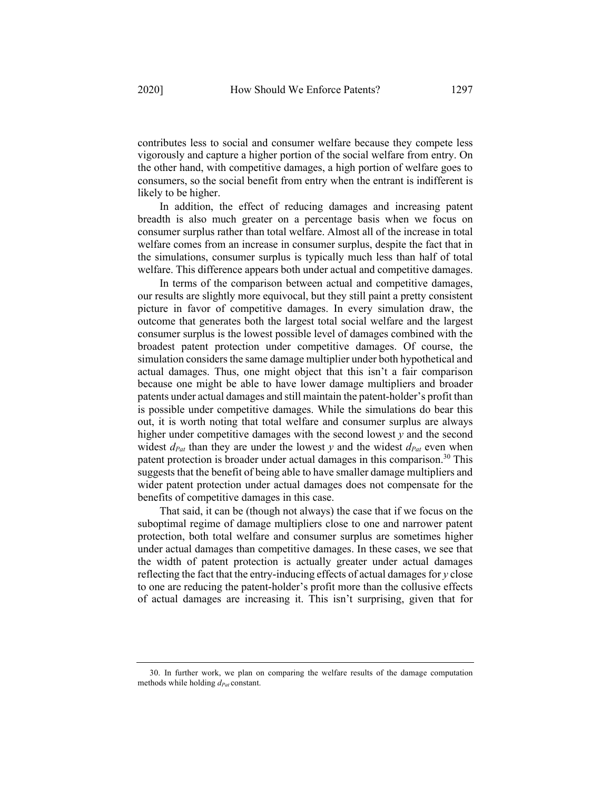contributes less to social and consumer welfare because they compete less vigorously and capture a higher portion of the social welfare from entry. On the other hand, with competitive damages, a high portion of welfare goes to consumers, so the social benefit from entry when the entrant is indifferent is likely to be higher.

In addition, the effect of reducing damages and increasing patent breadth is also much greater on a percentage basis when we focus on consumer surplus rather than total welfare. Almost all of the increase in total welfare comes from an increase in consumer surplus, despite the fact that in the simulations, consumer surplus is typically much less than half of total welfare. This difference appears both under actual and competitive damages.

In terms of the comparison between actual and competitive damages, our results are slightly more equivocal, but they still paint a pretty consistent picture in favor of competitive damages. In every simulation draw, the outcome that generates both the largest total social welfare and the largest consumer surplus is the lowest possible level of damages combined with the broadest patent protection under competitive damages. Of course, the simulation considers the same damage multiplier under both hypothetical and actual damages. Thus, one might object that this isn't a fair comparison because one might be able to have lower damage multipliers and broader patents under actual damages and still maintain the patent-holder's profit than is possible under competitive damages. While the simulations do bear this out, it is worth noting that total welfare and consumer surplus are always higher under competitive damages with the second lowest *y* and the second widest  $d_{Pat}$  than they are under the lowest *y* and the widest  $d_{Pat}$  even when patent protection is broader under actual damages in this comparison.<sup>30</sup> This suggests that the benefit of being able to have smaller damage multipliers and wider patent protection under actual damages does not compensate for the benefits of competitive damages in this case.

That said, it can be (though not always) the case that if we focus on the suboptimal regime of damage multipliers close to one and narrower patent protection, both total welfare and consumer surplus are sometimes higher under actual damages than competitive damages. In these cases, we see that the width of patent protection is actually greater under actual damages reflecting the fact that the entry-inducing effects of actual damages for *y* close to one are reducing the patent-holder's profit more than the collusive effects of actual damages are increasing it. This isn't surprising, given that for

<sup>30.</sup> In further work, we plan on comparing the welfare results of the damage computation methods while holding  $d_{Pat}$  constant.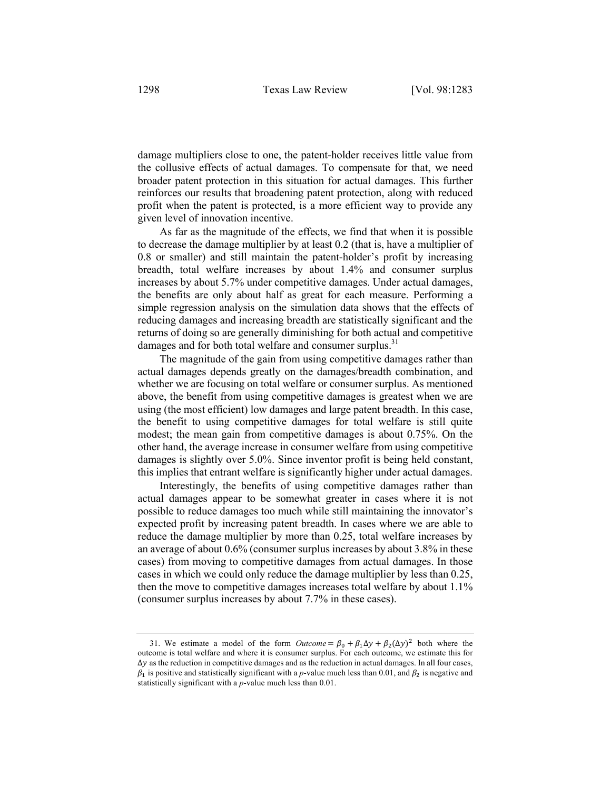damage multipliers close to one, the patent-holder receives little value from the collusive effects of actual damages. To compensate for that, we need broader patent protection in this situation for actual damages. This further reinforces our results that broadening patent protection, along with reduced profit when the patent is protected, is a more efficient way to provide any given level of innovation incentive.

As far as the magnitude of the effects, we find that when it is possible to decrease the damage multiplier by at least 0.2 (that is, have a multiplier of 0.8 or smaller) and still maintain the patent-holder's profit by increasing breadth, total welfare increases by about 1.4% and consumer surplus increases by about 5.7% under competitive damages. Under actual damages, the benefits are only about half as great for each measure. Performing a simple regression analysis on the simulation data shows that the effects of reducing damages and increasing breadth are statistically significant and the returns of doing so are generally diminishing for both actual and competitive damages and for both total welfare and consumer surplus.<sup>31</sup>

The magnitude of the gain from using competitive damages rather than actual damages depends greatly on the damages/breadth combination, and whether we are focusing on total welfare or consumer surplus. As mentioned above, the benefit from using competitive damages is greatest when we are using (the most efficient) low damages and large patent breadth. In this case, the benefit to using competitive damages for total welfare is still quite modest; the mean gain from competitive damages is about 0.75%. On the other hand, the average increase in consumer welfare from using competitive damages is slightly over 5.0%. Since inventor profit is being held constant, this implies that entrant welfare is significantly higher under actual damages.

Interestingly, the benefits of using competitive damages rather than actual damages appear to be somewhat greater in cases where it is not possible to reduce damages too much while still maintaining the innovator's expected profit by increasing patent breadth. In cases where we are able to reduce the damage multiplier by more than 0.25, total welfare increases by an average of about 0.6% (consumer surplus increases by about 3.8% in these cases) from moving to competitive damages from actual damages. In those cases in which we could only reduce the damage multiplier by less than 0.25, then the move to competitive damages increases total welfare by about 1.1% (consumer surplus increases by about 7.7% in these cases).

<sup>31.</sup> We estimate a model of the form  $Outcome = \beta_0 + \beta_1\Delta y + \beta_2(\Delta y)^2$  both where the outcome is total welfare and where it is consumer surplus. For each outcome, we estimate this for  $\Delta y$  as the reduction in competitive damages and as the reduction in actual damages. In all four cases,  $\beta_1$  is positive and statistically significant with a *p*-value much less than 0.01, and  $\beta_2$  is negative and statistically significant with a *p*-value much less than 0.01.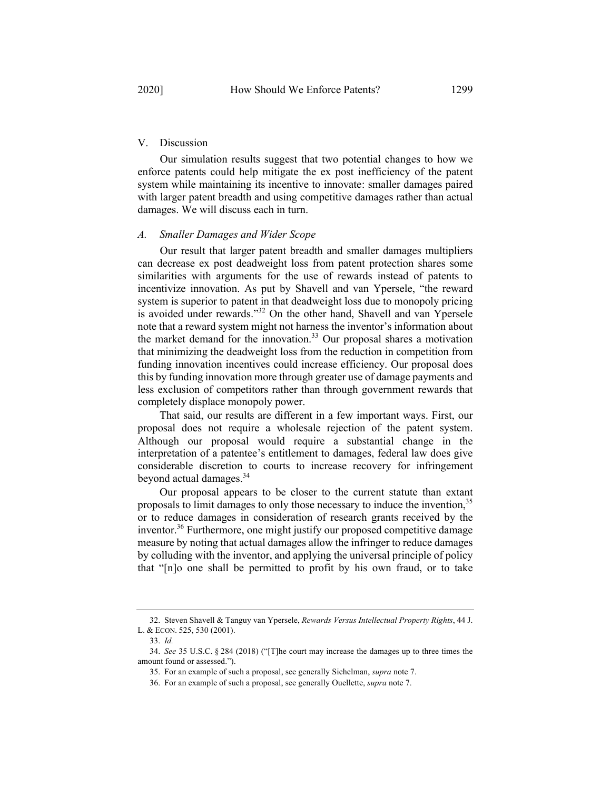# V. Discussion

Our simulation results suggest that two potential changes to how we enforce patents could help mitigate the ex post inefficiency of the patent system while maintaining its incentive to innovate: smaller damages paired with larger patent breadth and using competitive damages rather than actual damages. We will discuss each in turn.

#### *A. Smaller Damages and Wider Scope*

Our result that larger patent breadth and smaller damages multipliers can decrease ex post deadweight loss from patent protection shares some similarities with arguments for the use of rewards instead of patents to incentivize innovation. As put by Shavell and van Ypersele, "the reward system is superior to patent in that deadweight loss due to monopoly pricing is avoided under rewards."32 On the other hand, Shavell and van Ypersele note that a reward system might not harness the inventor's information about the market demand for the innovation.<sup>33</sup> Our proposal shares a motivation that minimizing the deadweight loss from the reduction in competition from funding innovation incentives could increase efficiency. Our proposal does this by funding innovation more through greater use of damage payments and less exclusion of competitors rather than through government rewards that completely displace monopoly power.

That said, our results are different in a few important ways. First, our proposal does not require a wholesale rejection of the patent system. Although our proposal would require a substantial change in the interpretation of a patentee's entitlement to damages, federal law does give considerable discretion to courts to increase recovery for infringement beyond actual damages.<sup>34</sup>

Our proposal appears to be closer to the current statute than extant proposals to limit damages to only those necessary to induce the invention,<sup>35</sup> or to reduce damages in consideration of research grants received by the inventor.<sup>36</sup> Furthermore, one might justify our proposed competitive damage measure by noting that actual damages allow the infringer to reduce damages by colluding with the inventor, and applying the universal principle of policy that "[n]o one shall be permitted to profit by his own fraud, or to take

<sup>32.</sup> Steven Shavell & Tanguy van Ypersele, *Rewards Versus Intellectual Property Rights*, 44 J. L. & ECON. 525, 530 (2001).

<sup>33.</sup> *Id.*

<sup>34.</sup> *See* 35 U.S.C. § 284 (2018) ("[T]he court may increase the damages up to three times the amount found or assessed.").

<sup>35.</sup> For an example of such a proposal, see generally Sichelman, *supra* note 7.

<sup>36.</sup> For an example of such a proposal, see generally Ouellette, *supra* note 7.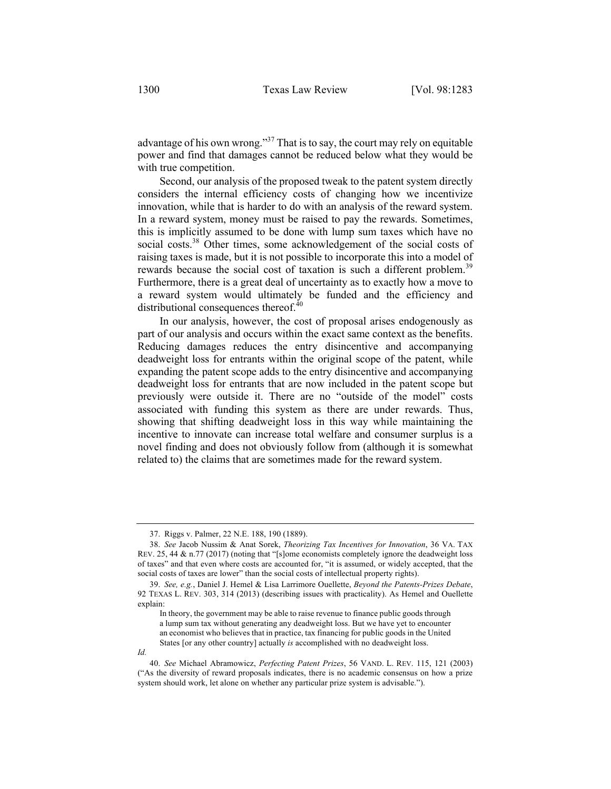advantage of his own wrong."<sup>37</sup> That is to say, the court may rely on equitable power and find that damages cannot be reduced below what they would be with true competition.

Second, our analysis of the proposed tweak to the patent system directly considers the internal efficiency costs of changing how we incentivize innovation, while that is harder to do with an analysis of the reward system. In a reward system, money must be raised to pay the rewards. Sometimes, this is implicitly assumed to be done with lump sum taxes which have no social costs.<sup>38</sup> Other times, some acknowledgement of the social costs of raising taxes is made, but it is not possible to incorporate this into a model of rewards because the social cost of taxation is such a different problem.<sup>39</sup> Furthermore, there is a great deal of uncertainty as to exactly how a move to a reward system would ultimately be funded and the efficiency and distributional consequences thereof. $40$ 

In our analysis, however, the cost of proposal arises endogenously as part of our analysis and occurs within the exact same context as the benefits. Reducing damages reduces the entry disincentive and accompanying deadweight loss for entrants within the original scope of the patent, while expanding the patent scope adds to the entry disincentive and accompanying deadweight loss for entrants that are now included in the patent scope but previously were outside it. There are no "outside of the model" costs associated with funding this system as there are under rewards. Thus, showing that shifting deadweight loss in this way while maintaining the incentive to innovate can increase total welfare and consumer surplus is a novel finding and does not obviously follow from (although it is somewhat related to) the claims that are sometimes made for the reward system.

*Id.*

<sup>37.</sup> Riggs v. Palmer, 22 N.E. 188, 190 (1889).

<sup>38.</sup> *See* Jacob Nussim & Anat Sorek, *Theorizing Tax Incentives for Innovation*, 36 VA. TAX REV. 25, 44 & n.77 (2017) (noting that "[s]ome economists completely ignore the deadweight loss of taxes" and that even where costs are accounted for, "it is assumed, or widely accepted, that the social costs of taxes are lower" than the social costs of intellectual property rights).

<sup>39.</sup> *See, e.g.*, Daniel J. Hemel & Lisa Larrimore Ouellette, *Beyond the Patents-Prizes Debate*, 92 TEXAS L. REV. 303, 314 (2013) (describing issues with practicality). As Hemel and Ouellette explain:

In theory, the government may be able to raise revenue to finance public goods through a lump sum tax without generating any deadweight loss. But we have yet to encounter an economist who believes that in practice, tax financing for public goods in the United States [or any other country] actually *is* accomplished with no deadweight loss.

<sup>40.</sup> *See* Michael Abramowicz, *Perfecting Patent Prizes*, 56 VAND. L. REV. 115, 121 (2003) ("As the diversity of reward proposals indicates, there is no academic consensus on how a prize system should work, let alone on whether any particular prize system is advisable.").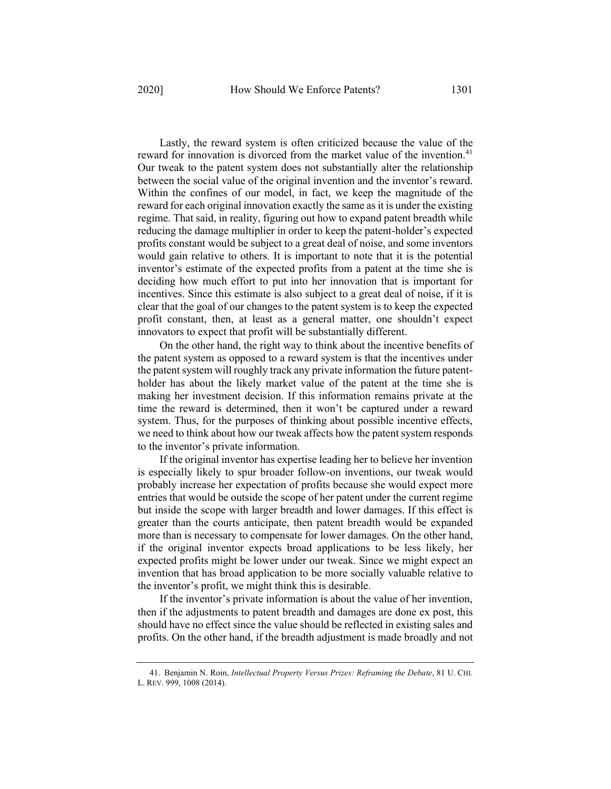Lastly, the reward system is often criticized because the value of the reward for innovation is divorced from the market value of the invention.<sup>41</sup> Our tweak to the patent system does not substantially alter the relationship between the social value of the original invention and the inventor's reward. Within the confines of our model, in fact, we keep the magnitude of the reward for each original innovation exactly the same as it is under the existing regime. That said, in reality, figuring out how to expand patent breadth while reducing the damage multiplier in order to keep the patent-holder's expected profits constant would be subject to a great deal of noise, and some inventors would gain relative to others. It is important to note that it is the potential inventor's estimate of the expected profits from a patent at the time she is deciding how much effort to put into her innovation that is important for incentives. Since this estimate is also subject to a great deal of noise, if it is clear that the goal of our changes to the patent system is to keep the expected profit constant, then, at least as a general matter, one shouldn't expect innovators to expect that profit will be substantially different.

On the other hand, the right way to think about the incentive benefits of the patent system as opposed to a reward system is that the incentives under the patent system will roughly track any private information the future patentholder has about the likely market value of the patent at the time she is making her investment decision. If this information remains private at the time the reward is determined, then it won't be captured under a reward system. Thus, for the purposes of thinking about possible incentive effects, we need to think about how our tweak affects how the patent system responds to the inventor's private information.

If the original inventor has expertise leading her to believe her invention is especially likely to spur broader follow-on inventions, our tweak would probably increase her expectation of profits because she would expect more entries that would be outside the scope of her patent under the current regime but inside the scope with larger breadth and lower damages. If this effect is greater than the courts anticipate, then patent breadth would be expanded more than is necessary to compensate for lower damages. On the other hand, if the original inventor expects broad applications to be less likely, her expected profits might be lower under our tweak. Since we might expect an invention that has broad application to be more socially valuable relative to the inventor's profit, we might think this is desirable.

If the inventor's private information is about the value of her invention, then if the adjustments to patent breadth and damages are done ex post, this should have no effect since the value should be reflected in existing sales and profits. On the other hand, if the breadth adjustment is made broadly and not

<sup>41.</sup> Benjamin N. Roin, *Intellectual Property Versus Prizes: Reframing the Debate*, 81 U. CHI. L. REV. 999, 1008 (2014).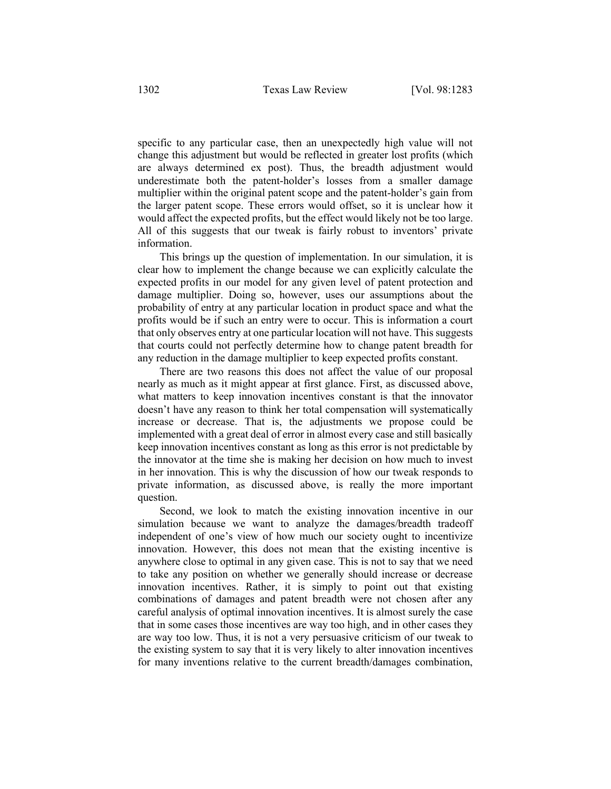specific to any particular case, then an unexpectedly high value will not change this adjustment but would be reflected in greater lost profits (which are always determined ex post). Thus, the breadth adjustment would underestimate both the patent-holder's losses from a smaller damage multiplier within the original patent scope and the patent-holder's gain from the larger patent scope. These errors would offset, so it is unclear how it would affect the expected profits, but the effect would likely not be too large. All of this suggests that our tweak is fairly robust to inventors' private information.

This brings up the question of implementation. In our simulation, it is clear how to implement the change because we can explicitly calculate the expected profits in our model for any given level of patent protection and damage multiplier. Doing so, however, uses our assumptions about the probability of entry at any particular location in product space and what the profits would be if such an entry were to occur. This is information a court that only observes entry at one particular location will not have. This suggests that courts could not perfectly determine how to change patent breadth for any reduction in the damage multiplier to keep expected profits constant.

There are two reasons this does not affect the value of our proposal nearly as much as it might appear at first glance. First, as discussed above, what matters to keep innovation incentives constant is that the innovator doesn't have any reason to think her total compensation will systematically increase or decrease. That is, the adjustments we propose could be implemented with a great deal of error in almost every case and still basically keep innovation incentives constant as long as this error is not predictable by the innovator at the time she is making her decision on how much to invest in her innovation. This is why the discussion of how our tweak responds to private information, as discussed above, is really the more important question.

Second, we look to match the existing innovation incentive in our simulation because we want to analyze the damages/breadth tradeoff independent of one's view of how much our society ought to incentivize innovation. However, this does not mean that the existing incentive is anywhere close to optimal in any given case. This is not to say that we need to take any position on whether we generally should increase or decrease innovation incentives. Rather, it is simply to point out that existing combinations of damages and patent breadth were not chosen after any careful analysis of optimal innovation incentives. It is almost surely the case that in some cases those incentives are way too high, and in other cases they are way too low. Thus, it is not a very persuasive criticism of our tweak to the existing system to say that it is very likely to alter innovation incentives for many inventions relative to the current breadth/damages combination,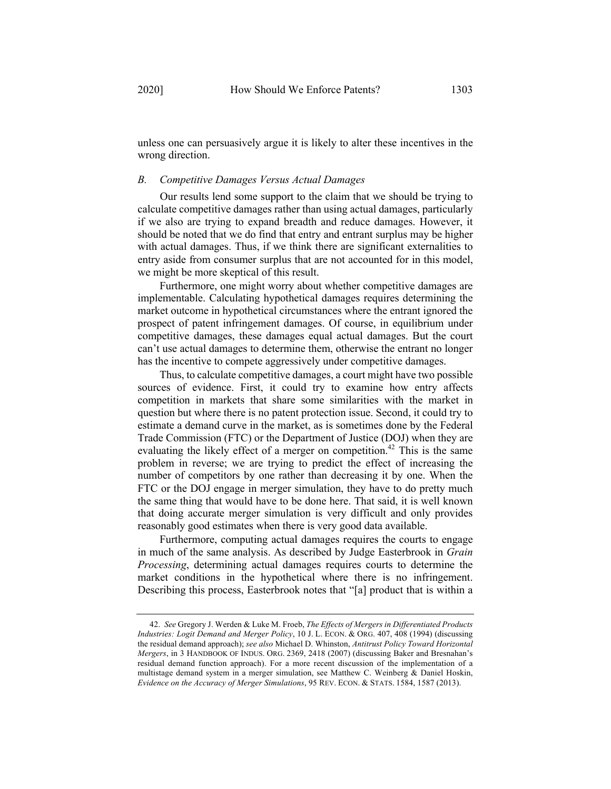unless one can persuasively argue it is likely to alter these incentives in the wrong direction.

# *B. Competitive Damages Versus Actual Damages*

Our results lend some support to the claim that we should be trying to calculate competitive damages rather than using actual damages, particularly if we also are trying to expand breadth and reduce damages. However, it should be noted that we do find that entry and entrant surplus may be higher with actual damages. Thus, if we think there are significant externalities to entry aside from consumer surplus that are not accounted for in this model, we might be more skeptical of this result.

Furthermore, one might worry about whether competitive damages are implementable. Calculating hypothetical damages requires determining the market outcome in hypothetical circumstances where the entrant ignored the prospect of patent infringement damages. Of course, in equilibrium under competitive damages, these damages equal actual damages. But the court can't use actual damages to determine them, otherwise the entrant no longer has the incentive to compete aggressively under competitive damages.

Thus, to calculate competitive damages, a court might have two possible sources of evidence. First, it could try to examine how entry affects competition in markets that share some similarities with the market in question but where there is no patent protection issue. Second, it could try to estimate a demand curve in the market, as is sometimes done by the Federal Trade Commission (FTC) or the Department of Justice (DOJ) when they are evaluating the likely effect of a merger on competition.<sup>42</sup> This is the same problem in reverse; we are trying to predict the effect of increasing the number of competitors by one rather than decreasing it by one. When the FTC or the DOJ engage in merger simulation, they have to do pretty much the same thing that would have to be done here. That said, it is well known that doing accurate merger simulation is very difficult and only provides reasonably good estimates when there is very good data available.

Furthermore, computing actual damages requires the courts to engage in much of the same analysis. As described by Judge Easterbrook in *Grain Processing*, determining actual damages requires courts to determine the market conditions in the hypothetical where there is no infringement. Describing this process, Easterbrook notes that "[a] product that is within a

<sup>42.</sup> *See* Gregory J. Werden & Luke M. Froeb, *The Effects of Mergers in Differentiated Products Industries: Logit Demand and Merger Policy*, 10 J. L. ECON. & ORG. 407, 408 (1994) (discussing the residual demand approach); *see also* Michael D. Whinston, *Antitrust Policy Toward Horizontal Mergers*, in 3 HANDBOOK OF INDUS. ORG. 2369, 2418 (2007) (discussing Baker and Bresnahan's residual demand function approach). For a more recent discussion of the implementation of a multistage demand system in a merger simulation, see Matthew C. Weinberg & Daniel Hoskin, *Evidence on the Accuracy of Merger Simulations*, 95 REV. ECON. & STATS. 1584, 1587 (2013).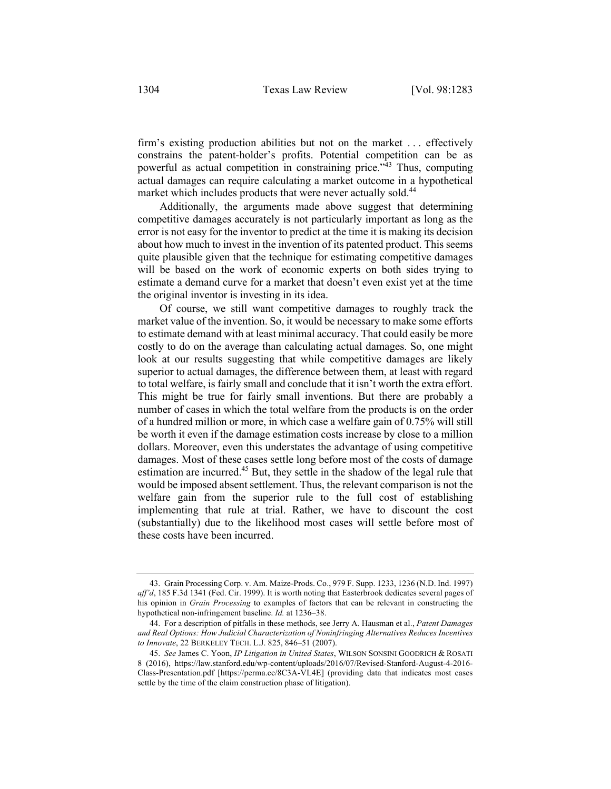firm's existing production abilities but not on the market . . . effectively constrains the patent-holder's profits. Potential competition can be as powerful as actual competition in constraining price." Thus, computing actual damages can require calculating a market outcome in a hypothetical market which includes products that were never actually sold.<sup>44</sup>

Additionally, the arguments made above suggest that determining competitive damages accurately is not particularly important as long as the error is not easy for the inventor to predict at the time it is making its decision about how much to invest in the invention of its patented product. This seems quite plausible given that the technique for estimating competitive damages will be based on the work of economic experts on both sides trying to estimate a demand curve for a market that doesn't even exist yet at the time the original inventor is investing in its idea.

Of course, we still want competitive damages to roughly track the market value of the invention. So, it would be necessary to make some efforts to estimate demand with at least minimal accuracy. That could easily be more costly to do on the average than calculating actual damages. So, one might look at our results suggesting that while competitive damages are likely superior to actual damages, the difference between them, at least with regard to total welfare, is fairly small and conclude that it isn't worth the extra effort. This might be true for fairly small inventions. But there are probably a number of cases in which the total welfare from the products is on the order of a hundred million or more, in which case a welfare gain of 0.75% will still be worth it even if the damage estimation costs increase by close to a million dollars. Moreover, even this understates the advantage of using competitive damages. Most of these cases settle long before most of the costs of damage estimation are incurred.<sup>45</sup> But, they settle in the shadow of the legal rule that would be imposed absent settlement. Thus, the relevant comparison is not the welfare gain from the superior rule to the full cost of establishing implementing that rule at trial. Rather, we have to discount the cost (substantially) due to the likelihood most cases will settle before most of these costs have been incurred.

<sup>43.</sup> Grain Processing Corp. v. Am. Maize-Prods. Co., 979 F. Supp. 1233, 1236 (N.D. Ind. 1997) *aff'd*, 185 F.3d 1341 (Fed. Cir. 1999). It is worth noting that Easterbrook dedicates several pages of his opinion in *Grain Processing* to examples of factors that can be relevant in constructing the hypothetical non-infringement baseline. *Id.* at 1236–38.

<sup>44.</sup> For a description of pitfalls in these methods, see Jerry A. Hausman et al., *Patent Damages and Real Options: How Judicial Characterization of Noninfringing Alternatives Reduces Incentives to Innovate*, 22 BERKELEY TECH. L.J. 825, 846–51 (2007).

<sup>45.</sup> *See* James C. Yoon, *IP Litigation in United States*, WILSON SONSINI GOODRICH & ROSATI 8 (2016), https://law.stanford.edu/wp-content/uploads/2016/07/Revised-Stanford-August-4-2016- Class-Presentation.pdf [https://perma.cc/8C3A-VL4E] (providing data that indicates most cases settle by the time of the claim construction phase of litigation).